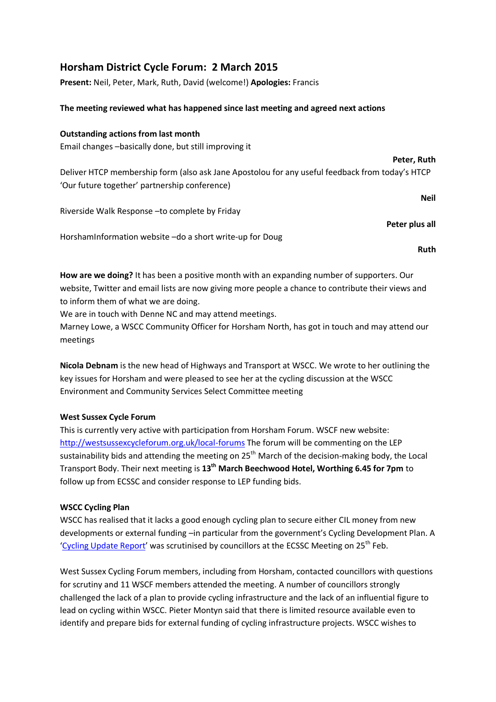# **Horsham District Cycle Forum: 2 March 2015**

**Present:** Neil, Peter, Mark, Ruth, David (welcome!) **Apologies:** Francis

## **The meeting reviewed what has happened since last meeting and agreed next actions**

## **Outstanding actions from last month**

Email changes –basically done, but still improving it

Deliver HTCP membership form (also ask Jane Apostolou for any useful feedback from today's HTCP 'Our future together' partnership conference)

Riverside Walk Response –to complete by Friday

HorshamInformation website –do a short write-up for Doug

**Ruth**

**Neil**

**Peter, Ruth**

**Peter plus all**

**How are we doing?** It has been a positive month with an expanding number of supporters. Our website, Twitter and email lists are now giving more people a chance to contribute their views and to inform them of what we are doing.

We are in touch with Denne NC and may attend meetings.

Marney Lowe, a WSCC Community Officer for Horsham North, has got in touch and may attend our meetings

**Nicola Debnam** is the new head of Highways and Transport at WSCC. We wrote to her outlining the key issues for Horsham and were pleased to see her at the cycling discussion at the WSCC Environment and Community Services Select Committee meeting

# **West Sussex Cycle Forum**

This is currently very active with participation from Horsham Forum. WSCF new website: <http://westsussexcycleforum.org.uk/local-forums> The forum will be commenting on the LEP sustainability bids and attending the meeting on  $25<sup>th</sup>$  March of the decision-making body, the Local Transport Body. Their next meeting is **13th March Beechwood Hotel, Worthing 6.45 for 7pm** to follow up from ECSSC and consider response to LEP funding bids.

### **WSCC Cycling Plan**

WSCC has realised that it lacks a good enough cycling plan to secure either CIL money from new developments or external funding –in particular from the government's Cycling Development Plan. A '[Cycling Update Report](http://www2.westsussex.gov.uk/ds/cttee/ecs/ecs250215i6.pdf)' was scrutinised by councillors at the ECSSC Meeting on 25<sup>th</sup> Feb.

West Sussex Cycling Forum members, including from Horsham, contacted councillors with questions for scrutiny and 11 WSCF members attended the meeting. A number of councillors strongly challenged the lack of a plan to provide cycling infrastructure and the lack of an influential figure to lead on cycling within WSCC. Pieter Montyn said that there is limited resource available even to identify and prepare bids for external funding of cycling infrastructure projects. WSCC wishes to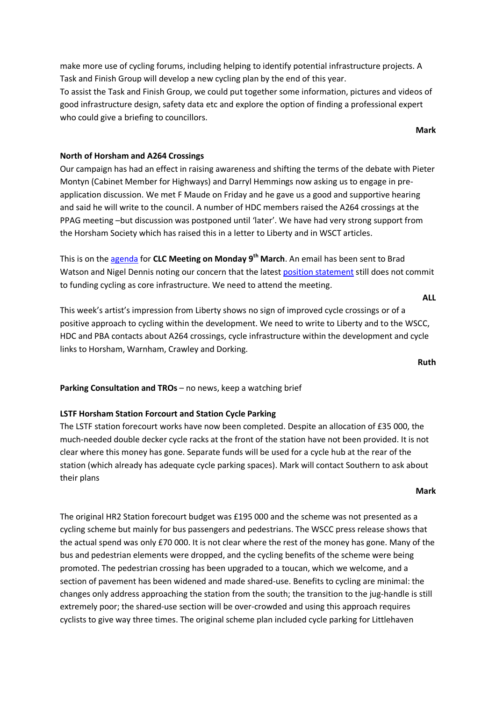make more use of cycling forums, including helping to identify potential infrastructure projects. A Task and Finish Group will develop a new cycling plan by the end of this year. To assist the Task and Finish Group, we could put together some information, pictures and videos of

good infrastructure design, safety data etc and explore the option of finding a professional expert who could give a briefing to councillors.

**Mark**

## **North of Horsham and A264 Crossings**

Our campaign has had an effect in raising awareness and shifting the terms of the debate with Pieter Montyn (Cabinet Member for Highways) and Darryl Hemmings now asking us to engage in preapplication discussion. We met F Maude on Friday and he gave us a good and supportive hearing and said he will write to the council. A number of HDC members raised the A264 crossings at the PPAG meeting –but discussion was postponed until 'later'. We have had very strong support from the Horsham Society which has raised this in a letter to Liberty and in WSCT articles.

This is on the [agenda](http://www2.westsussex.gov.uk/ds/clc/nh/nh090315age.pdf) for **CLC Meeting on Monday 9th March**. An email has been sent to Brad Watson and Nigel Dennis noting our concern that the latest [position statement](http://www2.westsussex.gov.uk/ds/clc/nh/nh090315i8.pdf) still does not commit to funding cycling as core infrastructure. We need to attend the meeting.

**ALL**

This week's artist's impression from Liberty shows no sign of improved cycle crossings or of a positive approach to cycling within the development. We need to write to Liberty and to the WSCC, HDC and PBA contacts about A264 crossings, cycle infrastructure within the development and cycle links to Horsham, Warnham, Crawley and Dorking.

**Ruth**

**Parking Consultation and TROs** – no news, keep a watching brief

### **LSTF Horsham Station Forcourt and Station Cycle Parking**

The LSTF station forecourt works have now been completed. Despite an allocation of £35 000, the much-needed double decker cycle racks at the front of the station have not been provided. It is not clear where this money has gone. Separate funds will be used for a cycle hub at the rear of the station (which already has adequate cycle parking spaces). Mark will contact Southern to ask about their plans

**Mark**

The original HR2 Station forecourt budget was £195 000 and the scheme was not presented as a cycling scheme but mainly for bus passengers and pedestrians. The WSCC press release shows that the actual spend was only £70 000. It is not clear where the rest of the money has gone. Many of the bus and pedestrian elements were dropped, and the cycling benefits of the scheme were being promoted. The pedestrian crossing has been upgraded to a toucan, which we welcome, and a section of pavement has been widened and made shared-use. Benefits to cycling are minimal: the changes only address approaching the station from the south; the transition to the jug-handle is still extremely poor; the shared-use section will be over-crowded and using this approach requires cyclists to give way three times. The original scheme plan included cycle parking for Littlehaven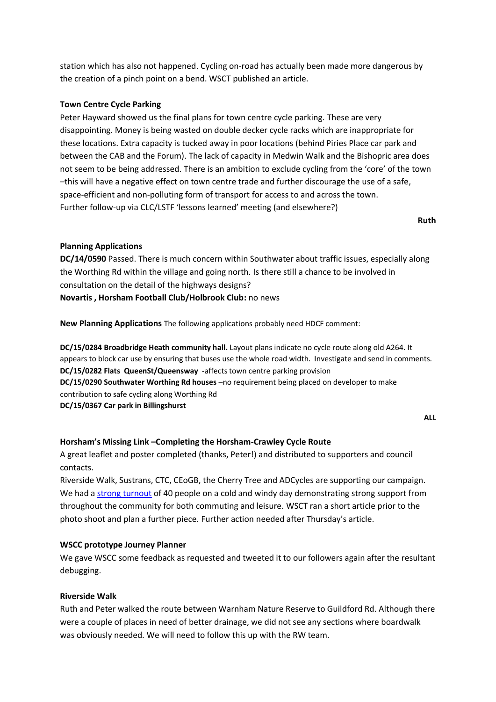station which has also not happened. Cycling on-road has actually been made more dangerous by the creation of a pinch point on a bend. WSCT published an article.

## **Town Centre Cycle Parking**

Peter Hayward showed us the final plans for town centre cycle parking. These are very disappointing. Money is being wasted on double decker cycle racks which are inappropriate for these locations. Extra capacity is tucked away in poor locations (behind Piries Place car park and between the CAB and the Forum). The lack of capacity in Medwin Walk and the Bishopric area does not seem to be being addressed. There is an ambition to exclude cycling from the 'core' of the town –this will have a negative effect on town centre trade and further discourage the use of a safe, space-efficient and non-polluting form of transport for access to and across the town. Further follow-up via CLC/LSTF 'lessons learned' meeting (and elsewhere?)

**Ruth**

## **Planning Applications**

**DC/14/0590** Passed. There is much concern within Southwater about traffic issues, especially along the Worthing Rd within the village and going north. Is there still a chance to be involved in consultation on the detail of the highways designs? **Novartis , Horsham Football Club/Holbrook Club:** no news

**New Planning Applications** The following applications probably need HDCF comment:

**DC/15/0284 Broadbridge Heath community hall.** Layout plans indicate no cycle route along old A264. It appears to block car use by ensuring that buses use the whole road width. Investigate and send in comments. **DC/15/0282 Flats QueenSt/Queensway** -affects town centre parking provision **DC/15/0290 Southwater Worthing Rd houses** –no requirement being placed on developer to make contribution to safe cycling along Worthing Rd **DC/15/0367 Car park in Billingshurst**

**ALL**

# **Horsham's Missing Link –Completing the Horsham-Crawley Cycle Route**

A great leaflet and poster completed (thanks, Peter!) and distributed to supporters and council contacts.

Riverside Walk, Sustrans, CTC, CEoGB, the Cherry Tree and ADCycles are supporting our campaign. We had a [strong turnout](http://www.hdcf.org.uk/fantastic-turnout-for-horshams-missing-link-campaign-photo/) of 40 people on a cold and windy day demonstrating strong support from throughout the community for both commuting and leisure. WSCT ran a short article prior to the photo shoot and plan a further piece. Further action needed after Thursday's article.

### **WSCC prototype Journey Planner**

We gave WSCC some feedback as requested and tweeted it to our followers again after the resultant debugging.

### **Riverside Walk**

Ruth and Peter walked the route between Warnham Nature Reserve to Guildford Rd. Although there were a couple of places in need of better drainage, we did not see any sections where boardwalk was obviously needed. We will need to follow this up with the RW team.